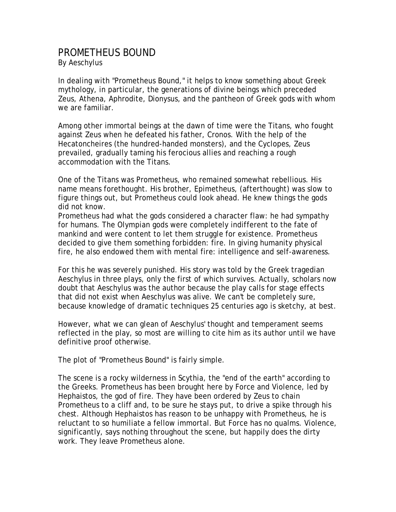## PROMETHEUS BOUND By Aeschylus

In dealing with "Prometheus Bound," it helps to know something about Greek mythology, in particular, the generations of divine beings which preceded Zeus, Athena, Aphrodite, Dionysus, and the pantheon of Greek gods with whom we are familiar.

Among other immortal beings at the dawn of time were the Titans, who fought against Zeus when he defeated his father, Cronos. With the help of the Hecatoncheires (the hundred-handed monsters), and the Cyclopes, Zeus prevailed, gradually taming his ferocious allies and reaching a rough accommodation with the Titans.

One of the Titans was Prometheus, who remained somewhat rebellious. His name means forethought. His brother, Epimetheus, (afterthought) was slow to figure things out, but Prometheus could look ahead. He knew things the gods did not know.

Prometheus had what the gods considered a character flaw: he had sympathy for humans. The Olympian gods were completely indifferent to the fate of mankind and were content to let them struggle for existence. Prometheus decided to give them something forbidden: fire. In giving humanity physical fire, he also endowed them with mental fire: intelligence and self-awareness.

For this he was severely punished. His story was told by the Greek tragedian Aeschylus in three plays, only the first of which survives. Actually, scholars now doubt that Aeschylus was the author because the play calls for stage effects that did not exist when Aeschylus was alive. We can't be completely sure, because knowledge of dramatic techniques 25 centuries ago is sketchy, at best.

However, what we can glean of Aeschylus' thought and temperament seems reflected in the play, so most are willing to cite him as its author until we have definitive proof otherwise.

The plot of "Prometheus Bound" is fairly simple.

The scene is a rocky wilderness in Scythia, the "end of the earth" according to the Greeks. Prometheus has been brought here by Force and Violence, led by Hephaistos, the god of fire. They have been ordered by Zeus to chain Prometheus to a cliff and, to be sure he stays put, to drive a spike through his chest. Although Hephaistos has reason to be unhappy with Prometheus, he is reluctant to so humiliate a fellow immortal. But Force has no qualms. Violence, significantly, says nothing throughout the scene, but happily does the dirty work. They leave Prometheus alone.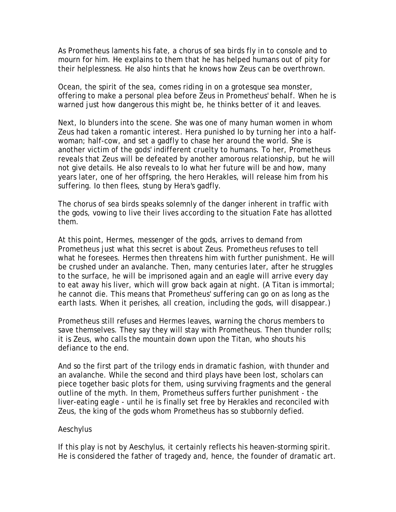As Prometheus laments his fate, a chorus of sea birds fly in to console and to mourn for him. He explains to them that he has helped humans out of pity for their helplessness. He also hints that he knows how Zeus can be overthrown.

Ocean, the spirit of the sea, comes riding in on a grotesque sea monster, offering to make a personal plea before Zeus in Prometheus' behalf. When he is warned just how dangerous this might be, he thinks better of it and leaves.

Next, Io blunders into the scene. She was one of many human women in whom Zeus had taken a romantic interest. Hera punished Io by turning her into a halfwoman; half-cow, and set a gadfly to chase her around the world. She is another victim of the gods' indifferent cruelty to humans. To her, Prometheus reveals that Zeus will be defeated by another amorous relationship, but he will not give details. He also reveals to Io what her future will be and how, many years later, one of her offspring, the hero Herakles, will release him from his suffering. Io then flees, stung by Hera's gadfly.

The chorus of sea birds speaks solemnly of the danger inherent in traffic with the gods, vowing to live their lives according to the situation Fate has allotted them.

At this point, Hermes, messenger of the gods, arrives to demand from Prometheus just what this secret is about Zeus. Prometheus refuses to tell what he foresees. Hermes then threatens him with further punishment. He will be crushed under an avalanche. Then, many centuries later, after he struggles to the surface, he will be imprisoned again and an eagle will arrive every day to eat away his liver, which will grow back again at night. (A Titan is immortal; he cannot die. This means that Prometheus' suffering can go on as long as the earth lasts. When it perishes, all creation, including the gods, will disappear.)

Prometheus still refuses and Hermes leaves, warning the chorus members to save themselves. They say they will stay with Prometheus. Then thunder rolls; it is Zeus, who calls the mountain down upon the Titan, who shouts his defiance to the end.

And so the first part of the trilogy ends in dramatic fashion, with thunder and an avalanche. While the second and third plays have been lost, scholars can piece together basic plots for them, using surviving fragments and the general outline of the myth. In them, Prometheus suffers further punishment - the liver-eating eagle - until he is finally set free by Herakles and reconciled with Zeus, the king of the gods whom Prometheus has so stubbornly defied.

## Aeschylus

If this play is not by Aeschylus, it certainly reflects his heaven-storming spirit. He is considered the father of tragedy and, hence, the founder of dramatic art.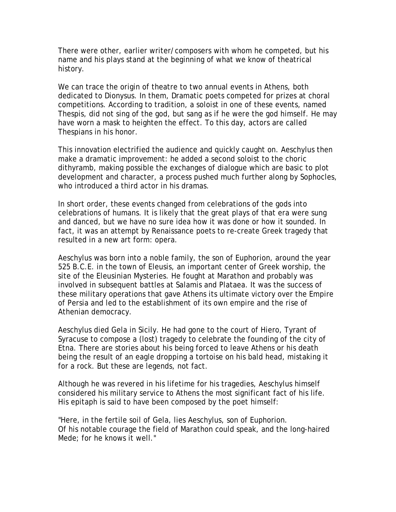There were other, earlier writer/composers with whom he competed, but his name and his plays stand at the beginning of what we know of theatrical history.

We can trace the origin of theatre to two annual events in Athens, both dedicated to Dionysus. In them, Dramatic poets competed for prizes at choral competitions. According to tradition, a soloist in one of these events, named Thespis, did not sing of the god, but sang as if he were the god himself. He may have worn a mask to heighten the effect. To this day, actors are called Thespians in his honor.

This innovation electrified the audience and quickly caught on. Aeschylus then make a dramatic improvement: he added a second soloist to the choric dithyramb, making possible the exchanges of dialogue which are basic to plot development and character, a process pushed much further along by Sophocles, who introduced a third actor in his dramas.

In short order, these events changed from celebrations of the gods into celebrations of humans. It is likely that the great plays of that era were sung and danced, but we have no sure idea how it was done or how it sounded. In fact, it was an attempt by Renaissance poets to re-create Greek tragedy that resulted in a new art form: opera.

Aeschylus was born into a noble family, the son of Euphorion, around the year 525 B.C.E. in the town of Eleusis, an important center of Greek worship, the site of the Eleusinian Mysteries. He fought at Marathon and probably was involved in subsequent battles at Salamis and Plataea. It was the success of these military operations that gave Athens its ultimate victory over the Empire of Persia and led to the establishment of its own empire and the rise of Athenian democracy.

Aeschylus died Gela in Sicily. He had gone to the court of Hiero, Tyrant of Syracuse to compose a (lost) tragedy to celebrate the founding of the city of Etna. There are stories about his being forced to leave Athens or his death being the result of an eagle dropping a tortoise on his bald head, mistaking it for a rock. But these are legends, not fact.

Although he was revered in his lifetime for his tragedies, Aeschylus himself considered his military service to Athens the most significant fact of his life. His epitaph is said to have been composed by the poet himself:

"Here, in the fertile soil of Gela, lies Aeschylus, son of Euphorion. Of his notable courage the field of Marathon could speak, and the long-haired Mede; for he knows it well."